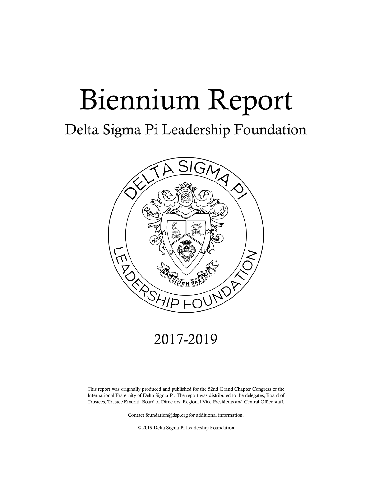# Biennium Report

#### Delta Sigma Pi Leadership Foundation



#### 2017-2019

This report was originally produced and published for the 52nd Grand Chapter Congress of the International Fraternity of Delta Sigma Pi. The report was distributed to the delegates, Board of Trustees, Trustee Emeriti, Board of Directors, Regional Vice Presidents and Central Office staff.

Contact foundation@dsp.org for additional information.

© 2019 Delta Sigma Pi Leadership Foundation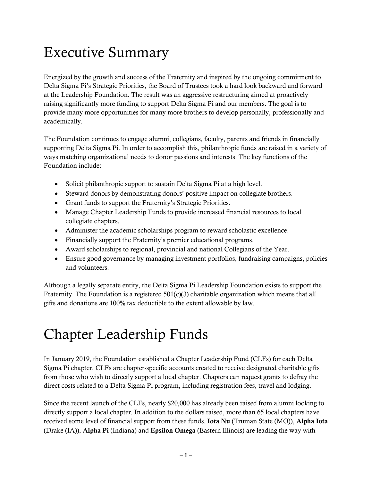#### Executive Summary

Energized by the growth and success of the Fraternity and inspired by the ongoing commitment to Delta Sigma Pi's Strategic Priorities, the Board of Trustees took a hard look backward and forward at the Leadership Foundation. The result was an aggressive restructuring aimed at proactively raising significantly more funding to support Delta Sigma Pi and our members. The goal is to provide many more opportunities for many more brothers to develop personally, professionally and academically.

The Foundation continues to engage alumni, collegians, faculty, parents and friends in financially supporting Delta Sigma Pi. In order to accomplish this, philanthropic funds are raised in a variety of ways matching organizational needs to donor passions and interests. The key functions of the Foundation include:

- Solicit philanthropic support to sustain Delta Sigma Pi at a high level.
- Steward donors by demonstrating donors' positive impact on collegiate brothers.
- Grant funds to support the Fraternity's Strategic Priorities.
- Manage Chapter Leadership Funds to provide increased financial resources to local collegiate chapters.
- Administer the academic scholarships program to reward scholastic excellence.
- Financially support the Fraternity's premier educational programs.
- Award scholarships to regional, provincial and national Collegians of the Year.
- Ensure good governance by managing investment portfolios, fundraising campaigns, policies and volunteers.

Although a legally separate entity, the Delta Sigma Pi Leadership Foundation exists to support the Fraternity. The Foundation is a registered  $501(c)(3)$  charitable organization which means that all gifts and donations are 100% tax deductible to the extent allowable by law.

## Chapter Leadership Funds

In January 2019, the Foundation established a Chapter Leadership Fund (CLFs) for each Delta Sigma Pi chapter. CLFs are chapter-specific accounts created to receive designated charitable gifts from those who wish to directly support a local chapter. Chapters can request grants to defray the direct costs related to a Delta Sigma Pi program, including registration fees, travel and lodging.

Since the recent launch of the CLFs, nearly \$20,000 has already been raised from alumni looking to directly support a local chapter. In addition to the dollars raised, more than 65 local chapters have received some level of financial support from these funds. Iota Nu (Truman State (MO)), Alpha Iota (Drake (IA)), Alpha Pi (Indiana) and Epsilon Omega (Eastern Illinois) are leading the way with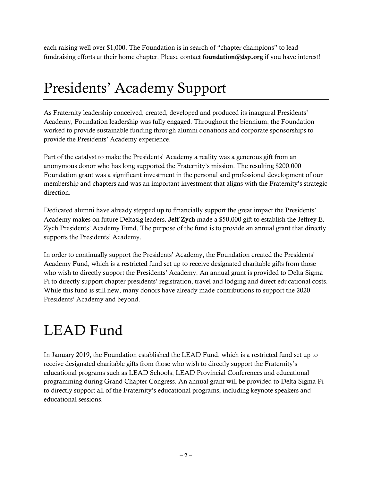each raising well over \$1,000. The Foundation is in search of "chapter champions" to lead fundraising efforts at their home chapter. Please contact foundation@dsp.org if you have interest!

#### Presidents' Academy Support

As Fraternity leadership conceived, created, developed and produced its inaugural Presidents' Academy, Foundation leadership was fully engaged. Throughout the biennium, the Foundation worked to provide sustainable funding through alumni donations and corporate sponsorships to provide the Presidents' Academy experience.

Part of the catalyst to make the Presidents' Academy a reality was a generous gift from an anonymous donor who has long supported the Fraternity's mission. The resulting \$200,000 Foundation grant was a significant investment in the personal and professional development of our membership and chapters and was an important investment that aligns with the Fraternity's strategic direction.

Dedicated alumni have already stepped up to financially support the great impact the Presidents' Academy makes on future Deltasig leaders. Jeff Zych made a \$50,000 gift to establish the Jeffrey E. Zych Presidents' Academy Fund. The purpose of the fund is to provide an annual grant that directly supports the Presidents' Academy.

In order to continually support the Presidents' Academy, the Foundation created the Presidents' Academy Fund, which is a restricted fund set up to receive designated charitable gifts from those who wish to directly support the Presidents' Academy. An annual grant is provided to Delta Sigma Pi to directly support chapter presidents' registration, travel and lodging and direct educational costs. While this fund is still new, many donors have already made contributions to support the 2020 Presidents' Academy and beyond.

# LEAD Fund

In January 2019, the Foundation established the LEAD Fund, which is a restricted fund set up to receive designated charitable gifts from those who wish to directly support the Fraternity's educational programs such as LEAD Schools, LEAD Provincial Conferences and educational programming during Grand Chapter Congress. An annual grant will be provided to Delta Sigma Pi to directly support all of the Fraternity's educational programs, including keynote speakers and educational sessions.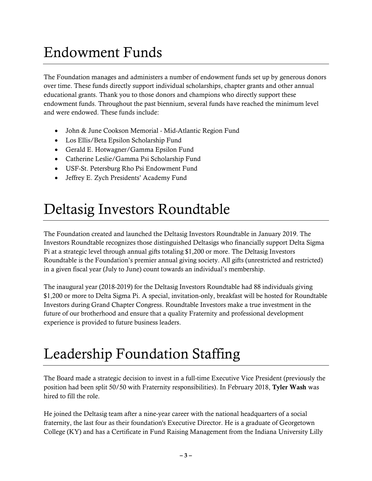## Endowment Funds

The Foundation manages and administers a number of endowment funds set up by generous donors over time. These funds directly support individual scholarships, chapter grants and other annual educational grants. Thank you to those donors and champions who directly support these endowment funds. Throughout the past biennium, several funds have reached the minimum level and were endowed. These funds include:

- John & June Cookson Memorial Mid-Atlantic Region Fund
- Los Ellis/Beta Epsilon Scholarship Fund
- Gerald E. Hotwagner/Gamma Epsilon Fund
- Catherine Leslie/Gamma Psi Scholarship Fund
- USF-St. Petersburg Rho Psi Endowment Fund
- Jeffrey E. Zych Presidents' Academy Fund

#### Deltasig Investors Roundtable

The Foundation created and launched the Deltasig Investors Roundtable in January 2019. The Investors Roundtable recognizes those distinguished Deltasigs who financially support Delta Sigma Pi at a strategic level through annual gifts totaling \$1,200 or more. The Deltasig Investors Roundtable is the Foundation's premier annual giving society. All gifts (unrestricted and restricted) in a given fiscal year (July to June) count towards an individual's membership.

The inaugural year (2018-2019) for the Deltasig Investors Roundtable had 88 individuals giving \$1,200 or more to Delta Sigma Pi. A special, invitation-only, breakfast will be hosted for Roundtable Investors during Grand Chapter Congress. Roundtable Investors make a true investment in the future of our brotherhood and ensure that a quality Fraternity and professional development experience is provided to future business leaders.

## Leadership Foundation Staffing

The Board made a strategic decision to invest in a full-time Executive Vice President (previously the position had been split 50/50 with Fraternity responsibilities). In February 2018, Tyler Wash was hired to fill the role.

He joined the Deltasig team after a nine-year career with the national headquarters of a social fraternity, the last four as their foundation's Executive Director. He is a graduate of Georgetown College (KY) and has a Certificate in Fund Raising Management from the Indiana University Lilly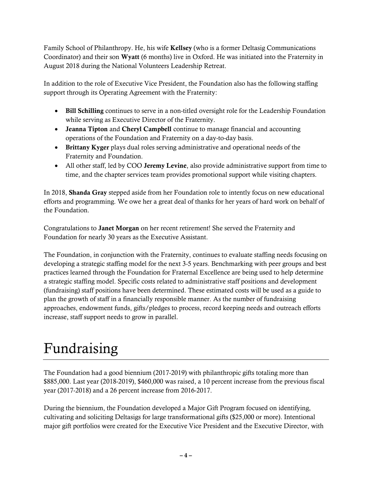Family School of Philanthropy. He, his wife Kellsey (who is a former Deltasig Communications Coordinator) and their son Wyatt (6 months) live in Oxford. He was initiated into the Fraternity in August 2018 during the National Volunteers Leadership Retreat.

In addition to the role of Executive Vice President, the Foundation also has the following staffing support through its Operating Agreement with the Fraternity:

- Bill Schilling continues to serve in a non-titled oversight role for the Leadership Foundation while serving as Executive Director of the Fraternity.
- Jeanna Tipton and Cheryl Campbell continue to manage financial and accounting operations of the Foundation and Fraternity on a day-to-day basis.
- Brittany Kyger plays dual roles serving administrative and operational needs of the Fraternity and Foundation.
- All other staff, led by COO Jeremy Levine, also provide administrative support from time to time, and the chapter services team provides promotional support while visiting chapters.

In 2018, Shanda Gray stepped aside from her Foundation role to intently focus on new educational efforts and programming. We owe her a great deal of thanks for her years of hard work on behalf of the Foundation.

Congratulations to Janet Morgan on her recent retirement! She served the Fraternity and Foundation for nearly 30 years as the Executive Assistant.

The Foundation, in conjunction with the Fraternity, continues to evaluate staffing needs focusing on developing a strategic staffing model for the next 3-5 years. Benchmarking with peer groups and best practices learned through the Foundation for Fraternal Excellence are being used to help determine a strategic staffing model. Specific costs related to administrative staff positions and development (fundraising) staff positions have been determined. These estimated costs will be used as a guide to plan the growth of staff in a financially responsible manner. As the number of fundraising approaches, endowment funds, gifts/pledges to process, record keeping needs and outreach efforts increase, staff support needs to grow in parallel.

# Fundraising

The Foundation had a good biennium (2017-2019) with philanthropic gifts totaling more than \$885,000. Last year (2018-2019), \$460,000 was raised, a 10 percent increase from the previous fiscal year (2017-2018) and a 26 percent increase from 2016-2017.

During the biennium, the Foundation developed a Major Gift Program focused on identifying, cultivating and soliciting Deltasigs for large transformational gifts (\$25,000 or more). Intentional major gift portfolios were created for the Executive Vice President and the Executive Director, with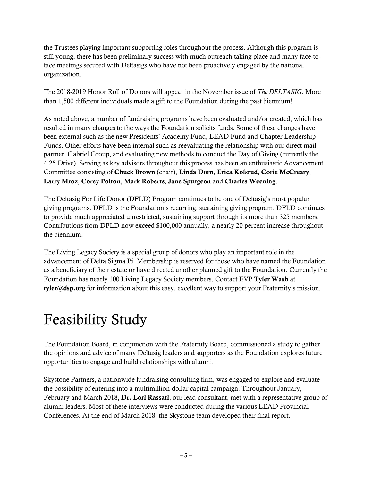the Trustees playing important supporting roles throughout the process. Although this program is still young, there has been preliminary success with much outreach taking place and many face-toface meetings secured with Deltasigs who have not been proactively engaged by the national organization.

The 2018-2019 Honor Roll of Donors will appear in the November issue of *The DELTASIG*. More than 1,500 different individuals made a gift to the Foundation during the past biennium!

As noted above, a number of fundraising programs have been evaluated and/or created, which has resulted in many changes to the ways the Foundation solicits funds. Some of these changes have been external such as the new Presidents' Academy Fund, LEAD Fund and Chapter Leadership Funds. Other efforts have been internal such as reevaluating the relationship with our direct mail partner, Gabriel Group, and evaluating new methods to conduct the Day of Giving (currently the 4.25 Drive). Serving as key advisors throughout this process has been an enthusiastic Advancement Committee consisting of Chuck Brown (chair), Linda Dorn, Erica Kolsrud, Corie McCreary, Larry Mroz, Corey Polton, Mark Roberts, Jane Spurgeon and Charles Weening.

The Deltasig For Life Donor (DFLD) Program continues to be one of Deltasig's most popular giving programs. DFLD is the Foundation's recurring, sustaining giving program. DFLD continues to provide much appreciated unrestricted, sustaining support through its more than 325 members. Contributions from DFLD now exceed \$100,000 annually, a nearly 20 percent increase throughout the biennium.

The Living Legacy Society is a special group of donors who play an important role in the advancement of Delta Sigma Pi. Membership is reserved for those who have named the Foundation as a beneficiary of their estate or have directed another planned gift to the Foundation. Currently the Foundation has nearly 100 Living Legacy Society members. Contact EVP Tyler Wash at tyler@dsp.org for information about this easy, excellent way to support your Fraternity's mission.

# Feasibility Study

The Foundation Board, in conjunction with the Fraternity Board, commissioned a study to gather the opinions and advice of many Deltasig leaders and supporters as the Foundation explores future opportunities to engage and build relationships with alumni.

Skystone Partners, a nationwide fundraising consulting firm, was engaged to explore and evaluate the possibility of entering into a multimillion-dollar capital campaign. Throughout January, February and March 2018, Dr. Lori Rassati, our lead consultant, met with a representative group of alumni leaders. Most of these interviews were conducted during the various LEAD Provincial Conferences. At the end of March 2018, the Skystone team developed their final report.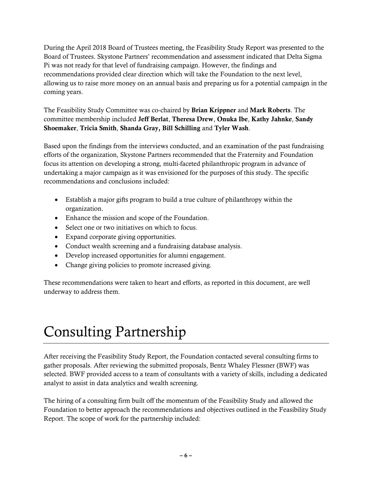During the April 2018 Board of Trustees meeting, the Feasibility Study Report was presented to the Board of Trustees. Skystone Partners' recommendation and assessment indicated that Delta Sigma Pi was not ready for that level of fundraising campaign. However, the findings and recommendations provided clear direction which will take the Foundation to the next level, allowing us to raise more money on an annual basis and preparing us for a potential campaign in the coming years.

The Feasibility Study Committee was co-chaired by Brian Krippner and Mark Roberts. The committee membership included Jeff Berlat, Theresa Drew, Onuka Ibe, Kathy Jahnke, Sandy Shoemaker, Tricia Smith, Shanda Gray, Bill Schilling and Tyler Wash.

Based upon the findings from the interviews conducted, and an examination of the past fundraising efforts of the organization, Skystone Partners recommended that the Fraternity and Foundation focus its attention on developing a strong, multi-faceted philanthropic program in advance of undertaking a major campaign as it was envisioned for the purposes of this study. The specific recommendations and conclusions included:

- Establish a major gifts program to build a true culture of philanthropy within the organization.
- Enhance the mission and scope of the Foundation.
- Select one or two initiatives on which to focus.
- Expand corporate giving opportunities.
- Conduct wealth screening and a fundraising database analysis.
- Develop increased opportunities for alumni engagement.
- Change giving policies to promote increased giving.

These recommendations were taken to heart and efforts, as reported in this document, are well underway to address them.

## Consulting Partnership

After receiving the Feasibility Study Report, the Foundation contacted several consulting firms to gather proposals. After reviewing the submitted proposals, Bentz Whaley Flessner (BWF) was selected. BWF provided access to a team of consultants with a variety of skills, including a dedicated analyst to assist in data analytics and wealth screening.

The hiring of a consulting firm built off the momentum of the Feasibility Study and allowed the Foundation to better approach the recommendations and objectives outlined in the Feasibility Study Report. The scope of work for the partnership included: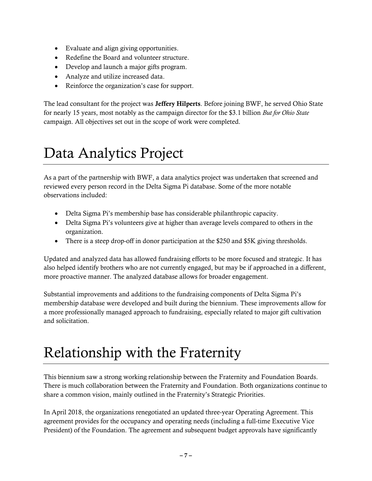- Evaluate and align giving opportunities.
- Redefine the Board and volunteer structure.
- Develop and launch a major gifts program.
- Analyze and utilize increased data.
- Reinforce the organization's case for support.

The lead consultant for the project was **Jeffery Hilperts**. Before joining BWF, he served Ohio State for nearly 15 years, most notably as the campaign director for the \$3.1 billion *But for Ohio State* campaign. All objectives set out in the scope of work were completed.

#### Data Analytics Project

As a part of the partnership with BWF, a data analytics project was undertaken that screened and reviewed every person record in the Delta Sigma Pi database. Some of the more notable observations included:

- Delta Sigma Pi's membership base has considerable philanthropic capacity.
- Delta Sigma Pi's volunteers give at higher than average levels compared to others in the organization.
- There is a steep drop-off in donor participation at the \$250 and \$5K giving thresholds.

Updated and analyzed data has allowed fundraising efforts to be more focused and strategic. It has also helped identify brothers who are not currently engaged, but may be if approached in a different, more proactive manner. The analyzed database allows for broader engagement.

Substantial improvements and additions to the fundraising components of Delta Sigma Pi's membership database were developed and built during the biennium. These improvements allow for a more professionally managed approach to fundraising, especially related to major gift cultivation and solicitation.

# Relationship with the Fraternity

This biennium saw a strong working relationship between the Fraternity and Foundation Boards. There is much collaboration between the Fraternity and Foundation. Both organizations continue to share a common vision, mainly outlined in the Fraternity's Strategic Priorities.

In April 2018, the organizations renegotiated an updated three-year Operating Agreement. This agreement provides for the occupancy and operating needs (including a full-time Executive Vice President) of the Foundation. The agreement and subsequent budget approvals have significantly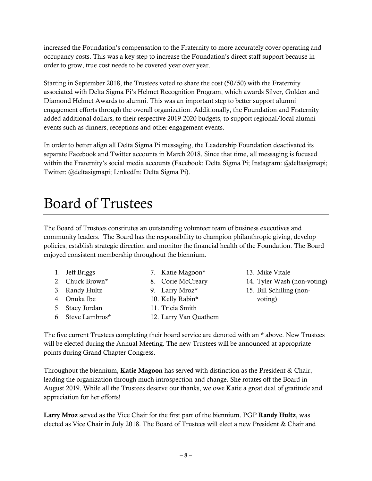increased the Foundation's compensation to the Fraternity to more accurately cover operating and occupancy costs. This was a key step to increase the Foundation's direct staff support because in order to grow, true cost needs to be covered year over year.

Starting in September 2018, the Trustees voted to share the cost (50/50) with the Fraternity associated with Delta Sigma Pi's Helmet Recognition Program, which awards Silver, Golden and Diamond Helmet Awards to alumni. This was an important step to better support alumni engagement efforts through the overall organization. Additionally, the Foundation and Fraternity added additional dollars, to their respective 2019-2020 budgets, to support regional/local alumni events such as dinners, receptions and other engagement events.

In order to better align all Delta Sigma Pi messaging, the Leadership Foundation deactivated its separate Facebook and Twitter accounts in March 2018. Since that time, all messaging is focused within the Fraternity's social media accounts (Facebook: Delta Sigma Pi; Instagram: @deltasigmapi; Twitter: @deltasigmapi; LinkedIn: Delta Sigma Pi).

#### Board of Trustees

The Board of Trustees constitutes an outstanding volunteer team of business executives and community leaders. The Board has the responsibility to champion philanthropic giving, develop policies, establish strategic direction and monitor the financial health of the Foundation. The Board enjoyed consistent membership throughout the biennium.

- 1. Jeff Briggs
- 2. Chuck Brown\*
- 3. Randy Hultz
- 4. Onuka Ibe
- 5. Stacy Jordan
- 6. Steve Lambros\*
- 8. Corie McCreary 9. Larry Mroz\* 10. Kelly Rabin\* 11. Tricia Smith

7. Katie Magoon\*

- 12. Larry Van Quathem
- 13. Mike Vitale
- 14. Tyler Wash (non-voting)
- 15. Bill Schilling (nonvoting)

The five current Trustees completing their board service are denoted with an \* above. New Trustees will be elected during the Annual Meeting. The new Trustees will be announced at appropriate points during Grand Chapter Congress.

Throughout the biennium, Katie Magoon has served with distinction as the President & Chair, leading the organization through much introspection and change. She rotates off the Board in August 2019. While all the Trustees deserve our thanks, we owe Katie a great deal of gratitude and appreciation for her efforts!

Larry Mroz served as the Vice Chair for the first part of the biennium. PGP Randy Hultz, was elected as Vice Chair in July 2018. The Board of Trustees will elect a new President & Chair and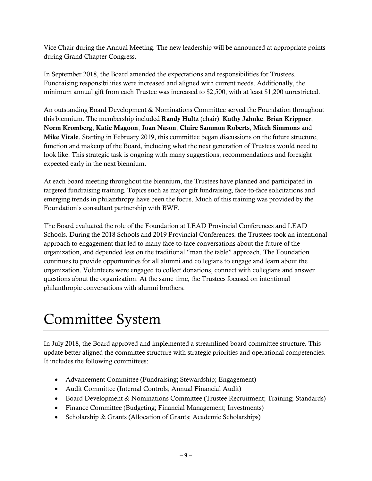Vice Chair during the Annual Meeting. The new leadership will be announced at appropriate points during Grand Chapter Congress.

In September 2018, the Board amended the expectations and responsibilities for Trustees. Fundraising responsibilities were increased and aligned with current needs. Additionally, the minimum annual gift from each Trustee was increased to \$2,500, with at least \$1,200 unrestricted.

An outstanding Board Development & Nominations Committee served the Foundation throughout this biennium. The membership included Randy Hultz (chair), Kathy Jahnke, Brian Krippner, Norm Kromberg, Katie Magoon, Joan Nason, Claire Sammon Roberts, Mitch Simmons and Mike Vitale. Starting in February 2019, this committee began discussions on the future structure, function and makeup of the Board, including what the next generation of Trustees would need to look like. This strategic task is ongoing with many suggestions, recommendations and foresight expected early in the next biennium.

At each board meeting throughout the biennium, the Trustees have planned and participated in targeted fundraising training. Topics such as major gift fundraising, face-to-face solicitations and emerging trends in philanthropy have been the focus. Much of this training was provided by the Foundation's consultant partnership with BWF.

The Board evaluated the role of the Foundation at LEAD Provincial Conferences and LEAD Schools. During the 2018 Schools and 2019 Provincial Conferences, the Trustees took an intentional approach to engagement that led to many face-to-face conversations about the future of the organization, and depended less on the traditional "man the table" approach. The Foundation continues to provide opportunities for all alumni and collegians to engage and learn about the organization. Volunteers were engaged to collect donations, connect with collegians and answer questions about the organization. At the same time, the Trustees focused on intentional philanthropic conversations with alumni brothers.

#### Committee System

In July 2018, the Board approved and implemented a streamlined board committee structure. This update better aligned the committee structure with strategic priorities and operational competencies. It includes the following committees:

- Advancement Committee (Fundraising; Stewardship; Engagement)
- Audit Committee (Internal Controls; Annual Financial Audit)
- Board Development & Nominations Committee (Trustee Recruitment; Training; Standards)
- Finance Committee (Budgeting; Financial Management; Investments)
- Scholarship & Grants (Allocation of Grants; Academic Scholarships)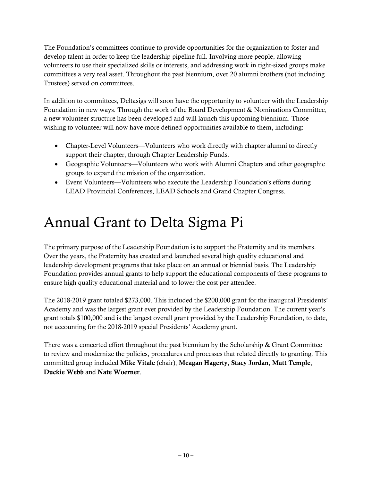The Foundation's committees continue to provide opportunities for the organization to foster and develop talent in order to keep the leadership pipeline full. Involving more people, allowing volunteers to use their specialized skills or interests, and addressing work in right-sized groups make committees a very real asset. Throughout the past biennium, over 20 alumni brothers (not including Trustees) served on committees.

In addition to committees, Deltasigs will soon have the opportunity to volunteer with the Leadership Foundation in new ways. Through the work of the Board Development & Nominations Committee, a new volunteer structure has been developed and will launch this upcoming biennium. Those wishing to volunteer will now have more defined opportunities available to them, including:

- Chapter-Level Volunteers—Volunteers who work directly with chapter alumni to directly support their chapter, through Chapter Leadership Funds.
- Geographic Volunteers—Volunteers who work with Alumni Chapters and other geographic groups to expand the mission of the organization.
- Event Volunteers—Volunteers who execute the Leadership Foundation's efforts during LEAD Provincial Conferences, LEAD Schools and Grand Chapter Congress.

#### Annual Grant to Delta Sigma Pi

The primary purpose of the Leadership Foundation is to support the Fraternity and its members. Over the years, the Fraternity has created and launched several high quality educational and leadership development programs that take place on an annual or biennial basis. The Leadership Foundation provides annual grants to help support the educational components of these programs to ensure high quality educational material and to lower the cost per attendee.

The 2018-2019 grant totaled \$273,000. This included the \$200,000 grant for the inaugural Presidents' Academy and was the largest grant ever provided by the Leadership Foundation. The current year's grant totals \$100,000 and is the largest overall grant provided by the Leadership Foundation, to date, not accounting for the 2018-2019 special Presidents' Academy grant.

There was a concerted effort throughout the past biennium by the Scholarship & Grant Committee to review and modernize the policies, procedures and processes that related directly to granting. This committed group included Mike Vitale (chair), Meagan Hagerty, Stacy Jordan, Matt Temple, Duckie Webb and Nate Woerner.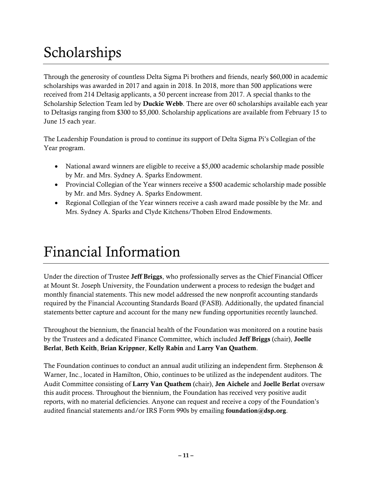## Scholarships

Through the generosity of countless Delta Sigma Pi brothers and friends, nearly \$60,000 in academic scholarships was awarded in 2017 and again in 2018. In 2018, more than 500 applications were received from 214 Deltasig applicants, a 50 percent increase from 2017. A special thanks to the Scholarship Selection Team led by **Duckie Webb**. There are over 60 scholarships available each year to Deltasigs ranging from \$300 to \$5,000. Scholarship applications are available from February 15 to June 15 each year.

The Leadership Foundation is proud to continue its support of Delta Sigma Pi's Collegian of the Year program.

- National award winners are eligible to receive a \$5,000 academic scholarship made possible by Mr. and Mrs. Sydney A. Sparks Endowment.
- Provincial Collegian of the Year winners receive a \$500 academic scholarship made possible by Mr. and Mrs. Sydney A. Sparks Endowment.
- Regional Collegian of the Year winners receive a cash award made possible by the Mr. and Mrs. Sydney A. Sparks and Clyde Kitchens/Thoben Elrod Endowments.

#### Financial Information

Under the direction of Trustee Jeff Briggs, who professionally serves as the Chief Financial Officer at Mount St. Joseph University, the Foundation underwent a process to redesign the budget and monthly financial statements. This new model addressed the new nonprofit accounting standards required by the Financial Accounting Standards Board (FASB). Additionally, the updated financial statements better capture and account for the many new funding opportunities recently launched.

Throughout the biennium, the financial health of the Foundation was monitored on a routine basis by the Trustees and a dedicated Finance Committee, which included Jeff Briggs (chair), Joelle Berlat, Beth Keith, Brian Krippner, Kelly Rabin and Larry Van Quathem.

The Foundation continues to conduct an annual audit utilizing an independent firm. Stephenson & Warner, Inc., located in Hamilton, Ohio, continues to be utilized as the independent auditors. The Audit Committee consisting of Larry Van Quathem (chair), Jen Aichele and Joelle Berlat oversaw this audit process. Throughout the biennium, the Foundation has received very positive audit reports, with no material deficiencies. Anyone can request and receive a copy of the Foundation's audited financial statements and/or IRS Form 990s by emailing foundation@dsp.org.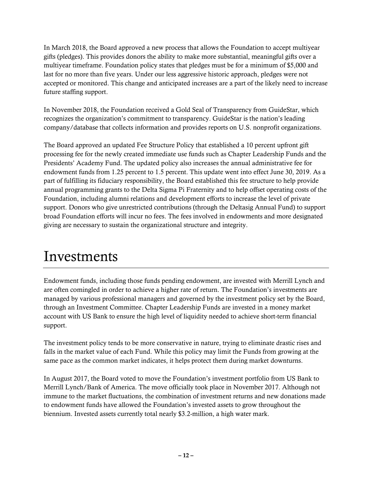In March 2018, the Board approved a new process that allows the Foundation to accept multiyear gifts (pledges). This provides donors the ability to make more substantial, meaningful gifts over a multiyear timeframe. Foundation policy states that pledges must be for a minimum of \$5,000 and last for no more than five years. Under our less aggressive historic approach, pledges were not accepted or monitored. This change and anticipated increases are a part of the likely need to increase future staffing support.

In November 2018, the Foundation received a Gold Seal of Transparency from GuideStar, which recognizes the organization's commitment to transparency. GuideStar is the nation's leading company/database that collects information and provides reports on U.S. nonprofit organizations.

The Board approved an updated Fee Structure Policy that established a 10 percent upfront gift processing fee for the newly created immediate use funds such as Chapter Leadership Funds and the Presidents' Academy Fund. The updated policy also increases the annual administrative fee for endowment funds from 1.25 percent to 1.5 percent. This update went into effect June 30, 2019. As a part of fulfilling its fiduciary responsibility, the Board established this fee structure to help provide annual programming grants to the Delta Sigma Pi Fraternity and to help offset operating costs of the Foundation, including alumni relations and development efforts to increase the level of private support. Donors who give unrestricted contributions (through the Deltasig Annual Fund) to support broad Foundation efforts will incur no fees. The fees involved in endowments and more designated giving are necessary to sustain the organizational structure and integrity.

#### Investments

Endowment funds, including those funds pending endowment, are invested with Merrill Lynch and are often comingled in order to achieve a higher rate of return. The Foundation's investments are managed by various professional managers and governed by the investment policy set by the Board, through an Investment Committee. Chapter Leadership Funds are invested in a money market account with US Bank to ensure the high level of liquidity needed to achieve short-term financial support.

The investment policy tends to be more conservative in nature, trying to eliminate drastic rises and falls in the market value of each Fund. While this policy may limit the Funds from growing at the same pace as the common market indicates, it helps protect them during market downturns.

In August 2017, the Board voted to move the Foundation's investment portfolio from US Bank to Merrill Lynch/Bank of America. The move officially took place in November 2017. Although not immune to the market fluctuations, the combination of investment returns and new donations made to endowment funds have allowed the Foundation's invested assets to grow throughout the biennium. Invested assets currently total nearly \$3.2-million, a high water mark.